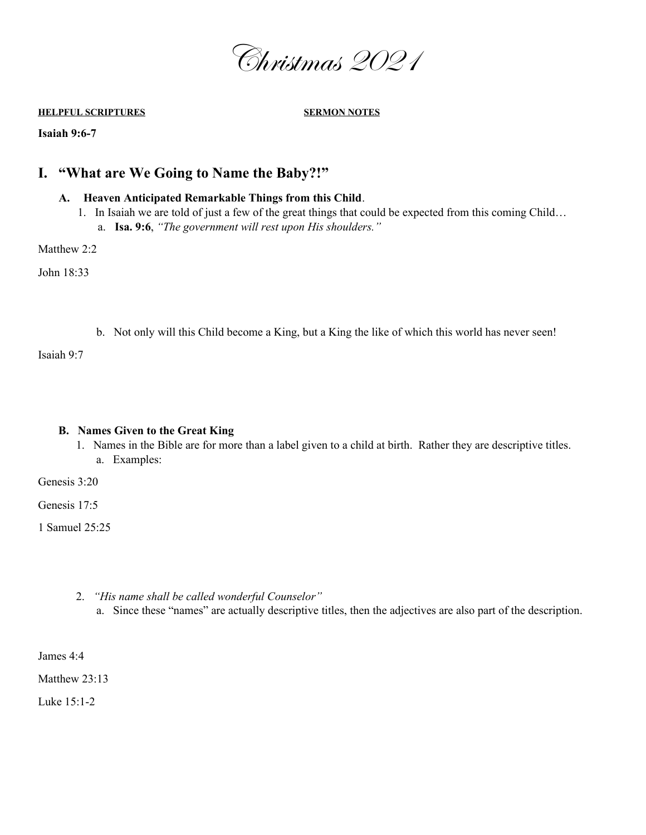

**HELPFUL SCRIPTURES SERMON NOTES**

**Isaiah 9:6-7**

## **I. "What are We Going to Name the Baby?!"**

## **A. Heaven Anticipated Remarkable Things from this Child**.

- 1. In Isaiah we are told of just a few of the great things that could be expected from this coming Child…
	- a. **Isa. 9:6**, *"The government will rest upon His shoulders."*

Matthew 2:2

John 18:33

b. Not only will this Child become a King, but a King the like of which this world has never seen!

Isaiah 9:7

## **B. Names Given to the Great King**

1. Names in the Bible are for more than a label given to a child at birth. Rather they are descriptive titles. a. Examples:

Genesis 3:20

Genesis 17:5

1 Samuel 25:25

- 2. *"His name shall be called wonderful Counselor"*
	- a. Since these "names" are actually descriptive titles, then the adjectives are also part of the description.

James 4:4

Matthew 23:13

Luke 15:1-2